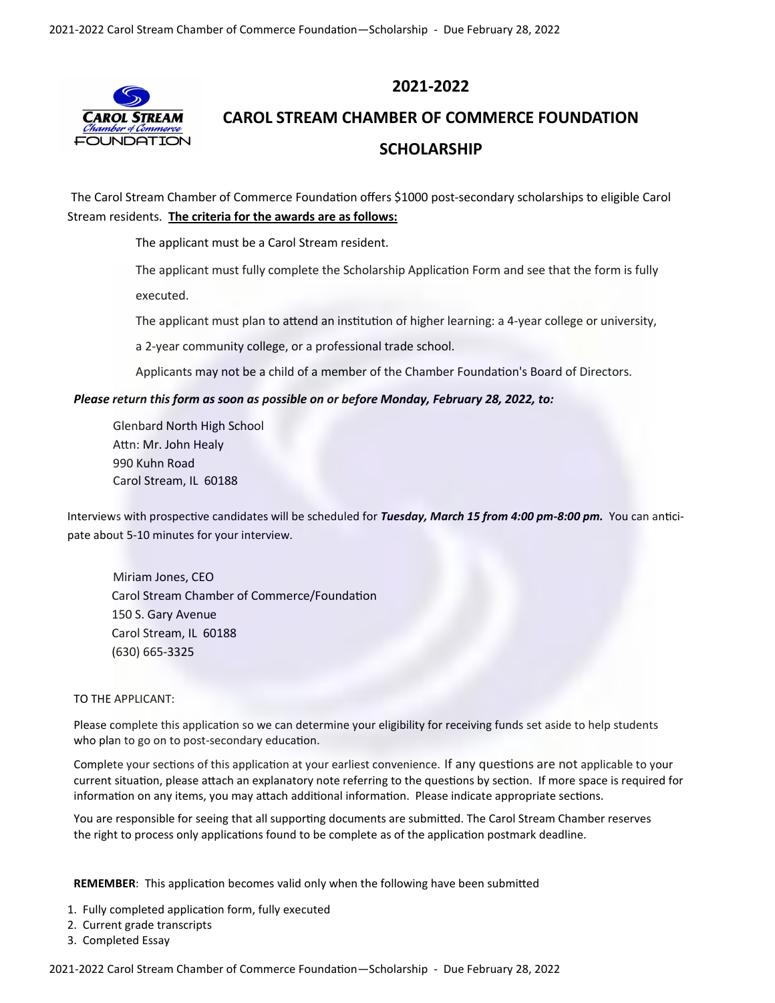

# **2021-2022**

# **CAROL STREAM CHAMBER OF COMMERCE FOUNDATION SCHOLARSHIP**

The Carol Stream Chamber of Commerce Foundation offers \$1000 post-secondary scholarships to eligible Carol Stream residents. **The criteria for the awards are as follows:**

The applicant must be a Carol Stream resident.

The applicant must fully complete the Scholarship Application Form and see that the form is fully executed.

The applicant must plan to attend an institution of higher learning: a 4-year college or university,

a 2-year community college, or a professional trade school.

Applicants may not be a child of a member of the Chamber Foundation's Board of Directors.

#### *Please return this form as soon as possible on or before Monday, February 28, 2022, to:*

Glenbard North High School Attn: Mr. John Healy 990 Kuhn Road Carol Stream, IL 60188

Interviews with prospective candidates will be scheduled for *Tuesday, March 15 from 4:00 pm-8:00 pm.* You can anticipate about 5-10 minutes for your interview.

Miriam Jones, CEO Carol Stream Chamber of Commerce/Foundation 150 S. Gary Avenue Carol Stream, IL 60188 (630) 665-3325

#### TO THE APPLICANT:

Please complete this application so we can determine your eligibility for receiving funds set aside to help students who plan to go on to post-secondary education.

Complete your sections of this application at your earliest convenience. If any questions are not applicable to your current situation, please attach an explanatory note referring to the questions by section. If more space is required for information on any items, you may attach additional information. Please indicate appropriate sections.

You are responsible for seeing that all supporting documents are submitted. The Carol Stream Chamber reserves the right to process only applications found to be complete as of the application postmark deadline.

**REMEMBER**: This application becomes valid only when the following have been submitted

- 1. Fully completed application form, fully executed
- 2. Current grade transcripts
- 3. Completed Essay

2021-2022 Carol Stream Chamber of Commerce Foundation—Scholarship - Due February 28, 2022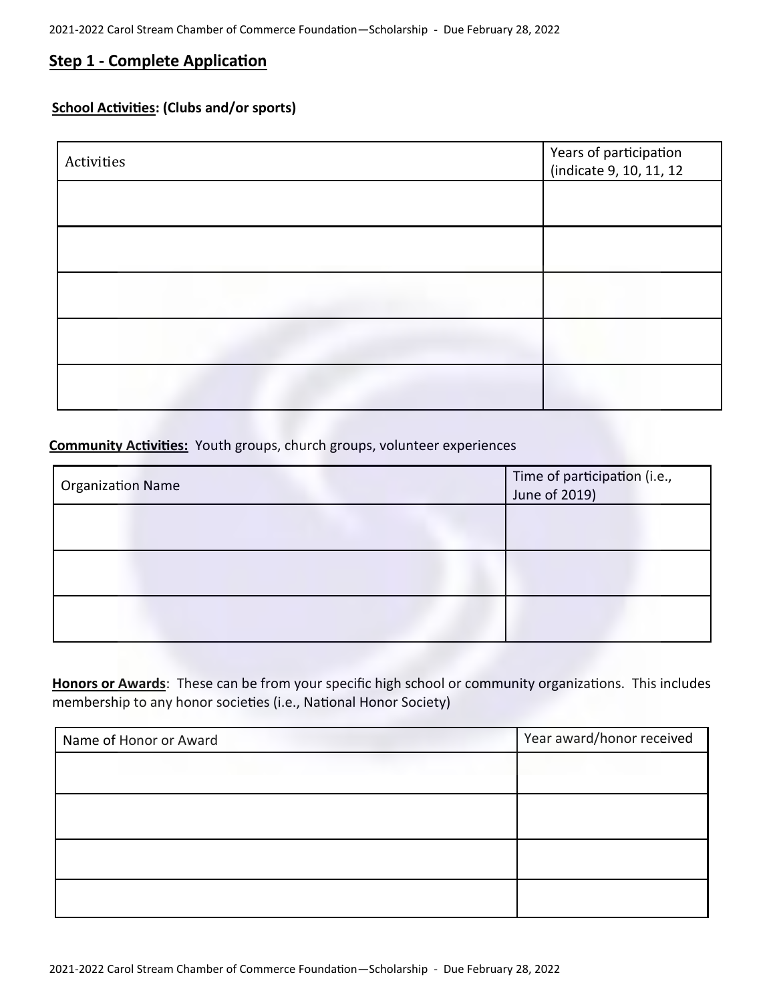# **Step 1 - Complete Application**

## **School Activities: (Clubs and/or sports)**

| Activities | Years of participation<br>(indicate 9, 10, 11, 12 |
|------------|---------------------------------------------------|
|            |                                                   |
|            |                                                   |
|            |                                                   |
|            |                                                   |
|            |                                                   |

### **Community Activities:** Youth groups, church groups, volunteer experiences

| Organization Name | Time of participation (i.e.,<br>June of 2019) |
|-------------------|-----------------------------------------------|
|                   |                                               |
|                   |                                               |
|                   |                                               |

**Honors or Awards**: These can be from your specific high school or community organizations. This includes membership to any honor societies (i.e., National Honor Society)

| Name of Honor or Award | Year award/honor received |
|------------------------|---------------------------|
|                        |                           |
|                        |                           |
|                        |                           |
|                        |                           |